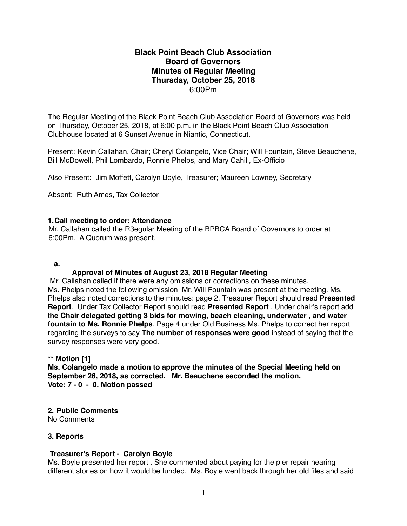# **Black Point Beach Club Association Board of Governors Minutes of Regular Meeting Thursday, October 25, 2018** 6:00Pm

The Regular Meeting of the Black Point Beach Club Association Board of Governors was held on Thursday, October 25, 2018, at 6:00 p.m. in the Black Point Beach Club Association Clubhouse located at 6 Sunset Avenue in Niantic, Connecticut.

Present: Kevin Callahan, Chair; Cheryl Colangelo, Vice Chair; Will Fountain, Steve Beauchene, Bill McDowell, Phil Lombardo, Ronnie Phelps, and Mary Cahill, Ex-Officio

Also Present: Jim Moffett, Carolyn Boyle, Treasurer; Maureen Lowney, Secretary

Absent: Ruth Ames, Tax Collector

# **1.Call meeting to order; Attendance**

Mr. Callahan called the R3egular Meeting of the BPBCA Board of Governors to order at 6:00Pm. A Quorum was present.

## **a.**

# **Approval of Minutes of August 23, 2018 Regular Meeting**

 Mr. Callahan called if there were any omissions or corrections on these minutes. Ms. Phelps noted the following omission Mr. Will Fountain was present at the meeting. Ms. Phelps also noted corrections to the minutes: page 2, Treasurer Report should read **Presented Report**. Under Tax Collector Report should read **Presented Report** , Under chair's report add t**he Chair delegated getting 3 bids for mowing, beach cleaning, underwater , and water fountain to Ms. Ronnie Phelps**. Page 4 under Old Business Ms. Phelps to correct her report regarding the surveys to say **The number of responses were good** instead of saying that the survey responses were very good.

# \*\* **Motion [1]**

**Ms. Colangelo made a motion to approve the minutes of the Special Meeting held on September 26, 2018, as corrected. Mr. Beauchene seconded the motion. Vote: 7 - 0 - 0. Motion passed**

**2. Public Comments** No Comments

# **3. Reports**

# **Treasurer's Report - Carolyn Boyle**

Ms. Boyle presented her report . She commented about paying for the pier repair hearing different stories on how it would be funded. Ms. Boyle went back through her old files and said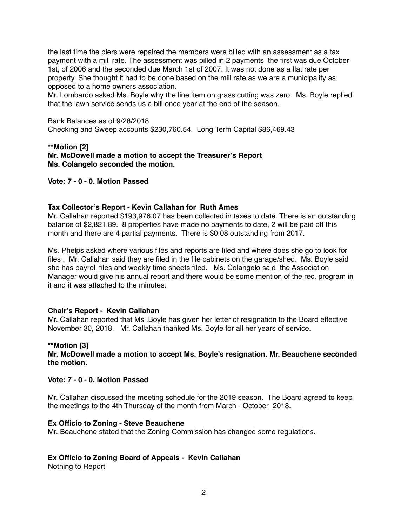the last time the piers were repaired the members were billed with an assessment as a tax payment with a mill rate. The assessment was billed in 2 payments the first was due October 1st, of 2006 and the seconded due March 1st of 2007. It was not done as a flat rate per property. She thought it had to be done based on the mill rate as we are a municipality as opposed to a home owners association.

Mr. Lombardo asked Ms. Boyle why the line item on grass cutting was zero. Ms. Boyle replied that the lawn service sends us a bill once year at the end of the season.

Bank Balances as of 9/28/2018 Checking and Sweep accounts \$230,760.54. Long Term Capital \$86,469.43

#### **\*\*Motion [2] Mr. McDowell made a motion to accept the Treasurer's Report Ms. Colangelo seconded the motion.**

## **Vote: 7 - 0 - 0. Motion Passed**

#### **Tax Collector's Report - Kevin Callahan for Ruth Ames**

Mr. Callahan reported \$193,976.07 has been collected in taxes to date. There is an outstanding balance of \$2,821.89. 8 properties have made no payments to date, 2 will be paid off this month and there are 4 partial payments. There is \$0.08 outstanding from 2017.

Ms. Phelps asked where various files and reports are filed and where does she go to look for files . Mr. Callahan said they are filed in the file cabinets on the garage/shed. Ms. Boyle said she has payroll files and weekly time sheets filed. Ms. Colangelo said the Association Manager would give his annual report and there would be some mention of the rec. program in it and it was attached to the minutes.

#### **Chair's Report - Kevin Callahan**

Mr. Callahan reported that Ms .Boyle has given her letter of resignation to the Board effective November 30, 2018. Mr. Callahan thanked Ms. Boyle for all her years of service.

#### **\*\*Motion [3]**

**Mr. McDowell made a motion to accept Ms. Boyle's resignation. Mr. Beauchene seconded the motion.**

# **Vote: 7 - 0 - 0. Motion Passed**

Mr. Callahan discussed the meeting schedule for the 2019 season. The Board agreed to keep the meetings to the 4th Thursday of the month from March - October 2018.

#### **Ex Officio to Zoning - Steve Beauchene**

Mr. Beauchene stated that the Zoning Commission has changed some regulations.

#### **Ex Officio to Zoning Board of Appeals - Kevin Callahan**

Nothing to Report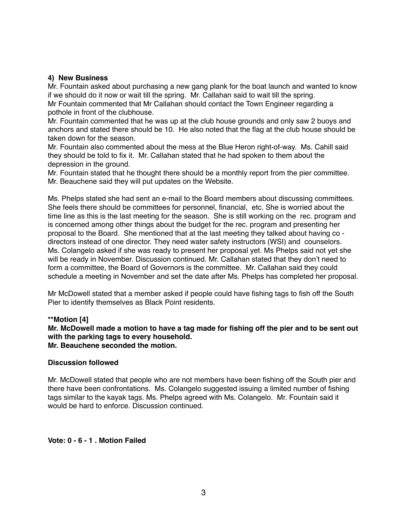## **4) New Business**

Mr. Fountain asked about purchasing a new gang plank for the boat launch and wanted to know if we should do it now or wait till the spring. Mr. Callahan said to wait till the spring.

Mr Fountain commented that Mr Callahan should contact the Town Engineer regarding a pothole in front of the clubhouse.

Mr. Fountain commented that he was up at the club house grounds and only saw 2 buoys and anchors and stated there should be 10. He also noted that the flag at the club house should be taken down for the season.

Mr. Fountain also commented about the mess at the Blue Heron right-of-way. Ms. Cahill said they should be told to fix it. Mr. Callahan stated that he had spoken to them about the depression in the ground.

Mr. Fountain stated that he thought there should be a monthly report from the pier committee. Mr. Beauchene said they will put updates on the Website.

Ms. Phelps stated she had sent an e-mail to the Board members about discussing committees. She feels there should be committees for personnel, financial, etc. She is worried about the time line as this is the last meeting for the season. She is still working on the rec. program and is concerned among other things about the budget for the rec. program and presenting her proposal to the Board. She mentioned that at the last meeting they talked about having co directors instead of one director. They need water safety instructors (WSI) and counselors. Ms. Colangelo asked if she was ready to present her proposal yet. Ms Phelps said not yet she will be ready in November. Discussion continued. Mr. Callahan stated that they don't need to form a committee, the Board of Governors is the committee. Mr. Callahan said they could schedule a meeting in November and set the date after Ms. Phelps has completed her proposal.

Mr McDowell stated that a member asked if people could have fishing tags to fish off the South Pier to identify themselves as Black Point residents.

#### **\*\*Motion [4]**

**Mr. McDowell made a motion to have a tag made for fishing off the pier and to be sent out with the parking tags to every household. Mr. Beauchene seconded the motion.**

#### **Discussion followed**

Mr. McDowell stated that people who are not members have been fishing off the South pier and there have been confrontations. Ms. Colangelo suggested issuing a limited number of fishing tags similar to the kayak tags. Ms. Phelps agreed with Ms. Colangelo. Mr. Fountain said it would be hard to enforce. Discussion continued.

#### **Vote: 0 - 6 - 1 . Motion Failed**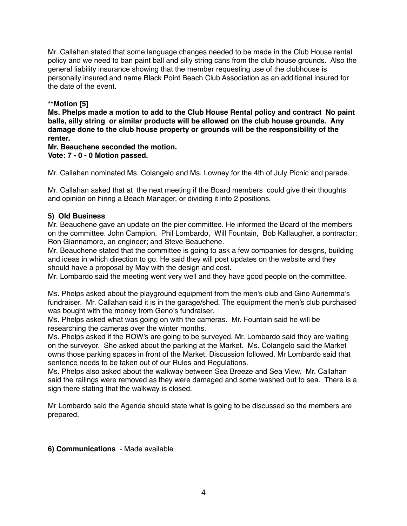Mr. Callahan stated that some language changes needed to be made in the Club House rental policy and we need to ban paint ball and silly string cans from the club house grounds. Also the general liability insurance showing that the member requesting use of the clubhouse is personally insured and name Black Point Beach Club Association as an additional insured for the date of the event.

# **\*\*Motion [5]**

**Ms. Phelps made a motion to add to the Club House Rental policy and contract No paint balls, silly string or similar products will be allowed on the club house grounds. Any damage done to the club house property or grounds will be the responsibility of the renter.**

**Mr. Beauchene seconded the motion.**

**Vote: 7 - 0 - 0 Motion passed.**

Mr. Callahan nominated Ms. Colangelo and Ms. Lowney for the 4th of July Picnic and parade.

Mr. Callahan asked that at the next meeting if the Board members could give their thoughts and opinion on hiring a Beach Manager, or dividing it into 2 positions.

# **5) Old Business**

Mr. Beauchene gave an update on the pier committee. He informed the Board of the members on the committee. John Campion, Phil Lombardo, Will Fountain, Bob Kallaugher, a contractor; Ron Giannamore, an engineer; and Steve Beauchene.

Mr. Beauchene stated that the committee is going to ask a few companies for designs, building and ideas in which direction to go. He said they will post updates on the website and they should have a proposal by May with the design and cost.

Mr. Lombardo said the meeting went very well and they have good people on the committee.

Ms. Phelps asked about the playground equipment from the men's club and Gino Auriemma's fundraiser. Mr. Callahan said it is in the garage/shed. The equipment the men's club purchased was bought with the money from Geno's fundraiser.

Ms. Phelps asked what was going on with the cameras. Mr. Fountain said he will be researching the cameras over the winter months.

Ms. Phelps asked if the ROW's are going to be surveyed. Mr. Lombardo said they are waiting on the surveyor. She asked about the parking at the Market. Ms. Colangelo said the Market owns those parking spaces in front of the Market. Discussion followed. Mr Lombardo said that sentence needs to be taken out of our Rules and Regulations.

Ms. Phelps also asked about the walkway between Sea Breeze and Sea View. Mr. Callahan said the railings were removed as they were damaged and some washed out to sea. There is a sign there stating that the walkway is closed.

Mr Lombardo said the Agenda should state what is going to be discussed so the members are prepared.

**6) Communications** - Made available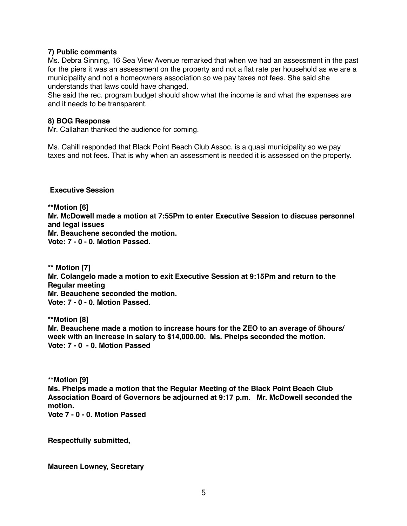## **7) Public comments**

Ms. Debra Sinning, 16 Sea View Avenue remarked that when we had an assessment in the past for the piers it was an assessment on the property and not a flat rate per household as we are a municipality and not a homeowners association so we pay taxes not fees. She said she understands that laws could have changed.

She said the rec. program budget should show what the income is and what the expenses are and it needs to be transparent.

#### **8) BOG Response**

Mr. Callahan thanked the audience for coming.

Ms. Cahill responded that Black Point Beach Club Assoc. is a quasi municipality so we pay taxes and not fees. That is why when an assessment is needed it is assessed on the property.

## **Executive Session**

**\*\*Motion [6] Mr. McDowell made a motion at 7:55Pm to enter Executive Session to discuss personnel and legal issues Mr. Beauchene seconded the motion. Vote: 7 - 0 - 0. Motion Passed.**

**\*\* Motion [7] Mr. Colangelo made a motion to exit Executive Session at 9:15Pm and return to the Regular meeting Mr. Beauchene seconded the motion. Vote: 7 - 0 - 0. Motion Passed.**

**\*\*Motion [8] Mr. Beauchene made a motion to increase hours for the ZEO to an average of 5hours/ week with an increase in salary to \$14,000.00. Ms. Phelps seconded the motion. Vote: 7 - 0 - 0. Motion Passed**

**\*\*Motion [9] Ms. Phelps made a motion that the Regular Meeting of the Black Point Beach Club Association Board of Governors be adjourned at 9:17 p.m. Mr. McDowell seconded the motion. Vote 7 - 0 - 0. Motion Passed**

**Respectfully submitted,**

**Maureen Lowney, Secretary**